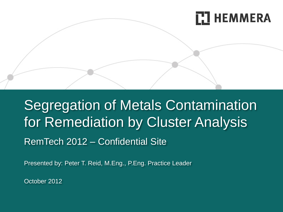



### Segregation of Metals Contamination for Remediation by Cluster Analysis RemTech 2012 – Confidential Site

Presented by: Peter T. Reid, M.Eng., P.Eng. Practice Leader

October 2012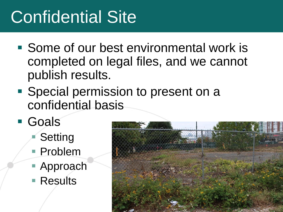# Confidential Site

- Some of our best environmental work is completed on legal files, and we cannot publish results.
- **Special permission to present on a** confidential basis
- Goals
	- **Setting**
	- Problem
	- Approach
	- Results

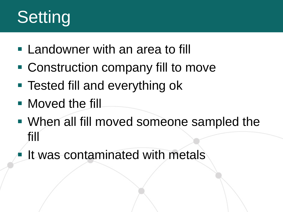# **Setting**

- **Landowner with an area to fill**
- Construction company fill to move
- Tested fill and everything ok
- Moved the fill
- When all fill moved someone sampled the fill
	- It was contaminated with metals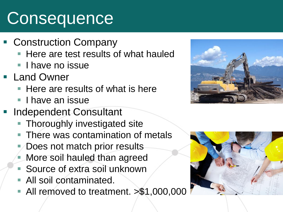## **Consequence**

- Construction Company
	- Here are test results of what hauled
	- **I** have no issue
- **Land Owner** 
	- $\blacksquare$  Here are results of what is here
	- I have an issue
- Independent Consultant
	- Thoroughly investigated site
	- There was contamination of metals
	- Does not match prior results
	- More soil hauled than agreed
	- **Source of extra soil unknown**
	- All soil contaminated.
	- All removed to treatment. >\$1,000,000



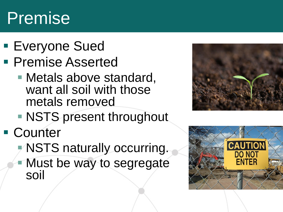# **Premise**

- **Everyone Sued**
- **Premise Asserted** 
	- Metals above standard, want all soil with those metals removed
	- **NSTS present throughout**
- Counter
	- **NSTS** naturally occurring.
	- Must be way to segregate soil



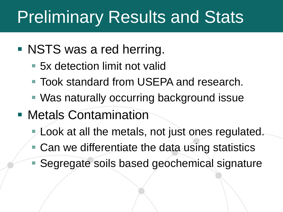# Preliminary Results and Stats

- **NSTS** was a red herring.
	- 5x detection limit not valid
	- Took standard from USEPA and research.
	- Was naturally occurring background issue
- Metals Contamination
	- Look at all the metals, not just ones regulated.
	- Can we differentiate the data using statistics
	- **Segregate soils based geochemical signature**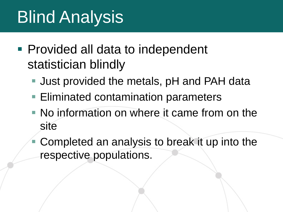# **Blind Analysis**

- **Provided all data to independent** statistician blindly
	- Just provided the metals, pH and PAH data
	- **Eliminated contamination parameters**
	- No information on where it came from on the site
	- Completed an analysis to break it up into the respective populations.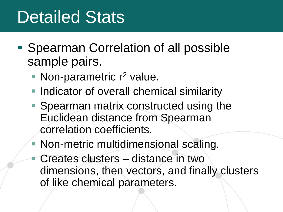## Detailed Stats

- Spearman Correlation of all possible sample pairs.
	- Non-parametric  $r^2$  value.
	- **Indicator of overall chemical similarity**
	- Spearman matrix constructed using the Euclidean distance from Spearman correlation coefficients.
	- **Non-metric multidimensional scaling.**
	- Creates clusters distance in two dimensions, then vectors, and finally clusters of like chemical parameters.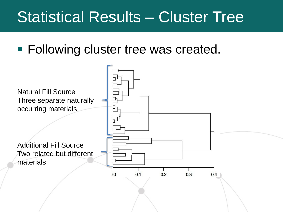### Statistical Results – Cluster Tree

#### **Following cluster tree was created.**

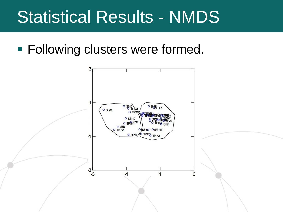### Statistical Results - NMDS

**Following clusters were formed.** 

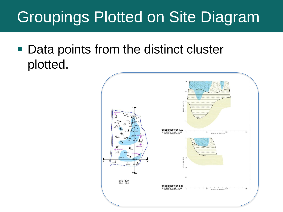### Groupings Plotted on Site Diagram

■ Data points from the distinct cluster plotted.

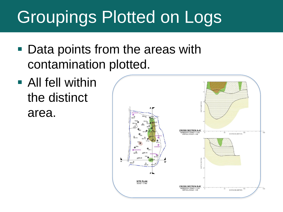# Groupings Plotted on Logs

- Data points from the areas with contamination plotted.
- **All fell within** the distinct area.

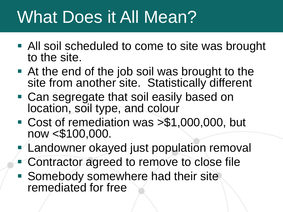## What Does it All Mean?

- All soil scheduled to come to site was brought to the site.
- At the end of the job soil was brought to the site from another site. Statistically different
- Can segregate that soil easily based on location, soil type, and colour
- Cost of remediation was >\$1,000,000, but now <\$100,000.
- **Landowner okayed just population removal**
- **Contractor agreed to remove to close file**
- Somebody somewhere had their site remediated for free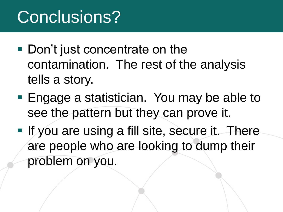## Conclusions?

- Don't just concentrate on the contamination. The rest of the analysis tells a story.
- Engage a statistician. You may be able to see the pattern but they can prove it.
- **If you are using a fill site, secure it. There** are people who are looking to dump their problem on you.